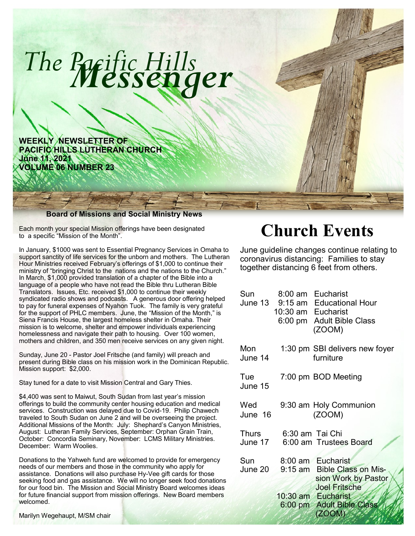

Each month your special Mission offerings have been designated to a specific "Mission of the Month".

In January, \$1000 was sent to Essential Pregnancy Services in Omaha to support sanctity of life services for the unborn and mothers. The Lutheran Hour Ministries received February's offerings of \$1,000 to continue their ministry of "bringing Christ to the nations and the nations to the Church." In March, \$1,000 provided translation of a chapter of the Bible into a language of a people who have not read the Bible thru Lutheran Bible Translators. Issues, Etc. received \$1,000 to continue their weekly syndicated radio shows and podcasts. A generous door offering helped to pay for funeral expenses of Nyahon Tuok. The family is very grateful for the support of PHLC members. June, the "Mission of the Month," is Siena Francis House, the largest homeless shelter in Omaha. Their mission is to welcome, shelter and empower individuals experiencing homelessness and navigate their path to housing. Over 100 women, mothers and children, and 350 men receive services on any given night.

Sunday, June 20 - Pastor Joel Fritsche (and family) will preach and present during Bible class on his mission work in the Dominican Republic. Mission support: \$2,000.

Stay tuned for a date to visit Mission Central and Gary Thies.

\$4,400 was sent to Maiwut, South Sudan from last year's mission offerings to build the community center housing education and medical services. Construction was delayed due to Covid-19. Philip Chawech traveled to South Sudan on June 2 and will be overseeing the project. Additional Missions of the Month: July: Shephard's Canyon Ministries, August: Lutheran Family Services, September: Orphan Grain Train, October: Concordia Seminary, November: LCMS Military Ministries. December: Warm Woolies.

Donations to the Yahweh fund are welcomed to provide for emergency needs of our members and those in the community who apply for assistance. Donations will also purchase Hy-Vee gift cards for those seeking food and gas assistance. We will no longer seek food donations for our food bin. The Mission and Social Ministry Board welcomes ideas for future financial support from mission offerings. New Board members welcomed.

Marilyn Wegehaupt, M/SM chair

# **Church Events**

June guideline changes continue relating to coronavirus distancing: Families to stay together distancing 6 feet from others.

| 1:30 pm SBI delivers new foyer<br>furniture<br>7:00 pm BOD Meeting<br>9:30 am Holy Communion<br>(ZOOM)<br>6:30 am Tai Chi<br>June 17<br>6:00 am Trustees Board<br>8:00 am Eucharist<br>9:15 am Bible Class on Mis-<br>June 20<br>sion Work by Pastor<br><b>Joel Fritsche</b><br>10:30 am Eucharist<br>6:00 pm Adult Bible Class<br>(ZOOM) | Sun            | 8:00 am<br>10:30 am Eucharist | Eucharist<br>June 13 9:15 am Educational Hour<br>6:00 pm Adult Bible Class<br>(ZOOM) |
|-------------------------------------------------------------------------------------------------------------------------------------------------------------------------------------------------------------------------------------------------------------------------------------------------------------------------------------------|----------------|-------------------------------|--------------------------------------------------------------------------------------|
|                                                                                                                                                                                                                                                                                                                                           | Mon<br>June 14 |                               |                                                                                      |
|                                                                                                                                                                                                                                                                                                                                           | Tue<br>June 15 |                               |                                                                                      |
|                                                                                                                                                                                                                                                                                                                                           | Wed<br>June 16 |                               |                                                                                      |
|                                                                                                                                                                                                                                                                                                                                           | Thurs          |                               |                                                                                      |
|                                                                                                                                                                                                                                                                                                                                           | Sun            |                               |                                                                                      |
|                                                                                                                                                                                                                                                                                                                                           |                |                               |                                                                                      |